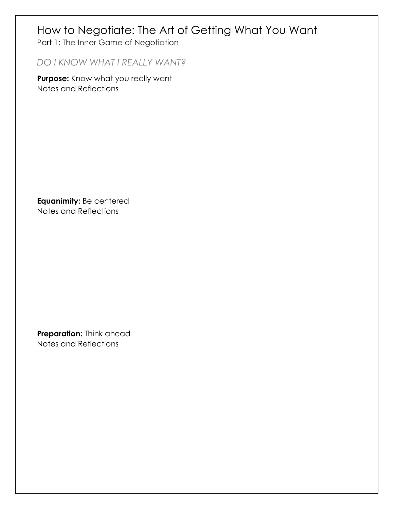### How to Negotiate: The Art of Getting What You Want

Part 1: The Inner Game of Negotiation

*DO I KNOW WHAT I REALLY WANT?* 

**Purpose:** Know what you really want Notes and Reflections

**Equanimity:** Be centered Notes and Reflections

**Preparation:** Think ahead Notes and Reflections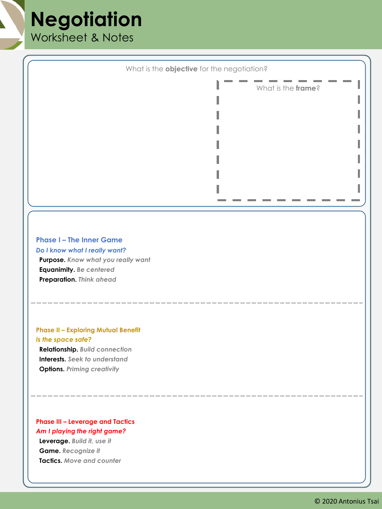### **Negotiation** Worksheet & Notes

What is the **objective** for the negotiation? **Phase I – The Inner Game** *Do I know what I really want?* **Purpose.** *Know what you really want* **Equanimity.** *Be centered* **Preparation.** *Think ahead* What is the **frame**?

### **Phase II – Exploring Mutual Benefit** *Is the space safe?*

**Relationship.** *Build connection* **Interests.** *Seek to understand* **Options.** *Priming creativity*

#### **Phase III – Leverage and Tactics** *Am I playing the right game?*

**Leverage.** *Build it, use it* **Game.** *Recognize it* **Tactics.** *Move and counter*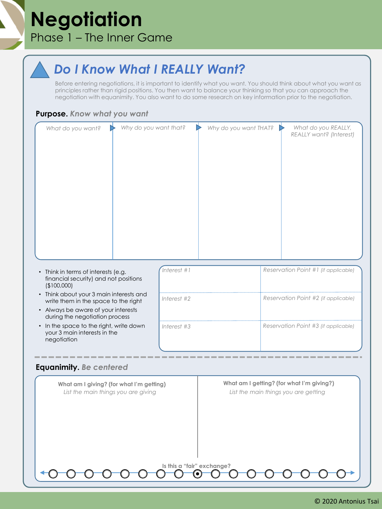## **Negotiation** Phase 1 – The Inner Game

### *Do I Know What I REALLY Want?*

Before entering negotiations, it is important to identify what you want. You should think about what you want as principles rather than rigid positions. You then want to balance your thinking so that you can approach the negotiation with equanimity. You also want to do some research on key information prior to the negotiation.

#### **Purpose.** *Know what you want*

| What do you want? | ▷ | Why do you want that? | Why do you want THAT? | What do you REALLY,<br>REALLY want? (Interest) |
|-------------------|---|-----------------------|-----------------------|------------------------------------------------|
|                   |   |                       |                       |                                                |
|                   |   |                       |                       |                                                |
|                   |   |                       |                       |                                                |
|                   |   |                       |                       |                                                |
|                   |   |                       |                       |                                                |
|                   |   |                       |                       |                                                |

**Is this a "fair" exchange?**

- Think in terms of interests (e.g. financial security) and not positions (\$100,000)
- Think about your 3 main interests and write them in the space to the right
- Always be aware of your interests during the negotiation process
- In the space to the right, write down your 3 main interests in the negotiation

| nterest #1    | Reservation Point #1 (if applicable) |
|---------------|--------------------------------------|
| Interest $#2$ | Reservation Point #2 (if applicable) |
| Interest #3   | Reservation Point #3 (if applicable) |

#### **Equanimity.** *Be centered*

**What am I giving? (for what I'm getting) What am I getting? (for what I'm giving?)** *List the main things you are giving List the main things you are getting*